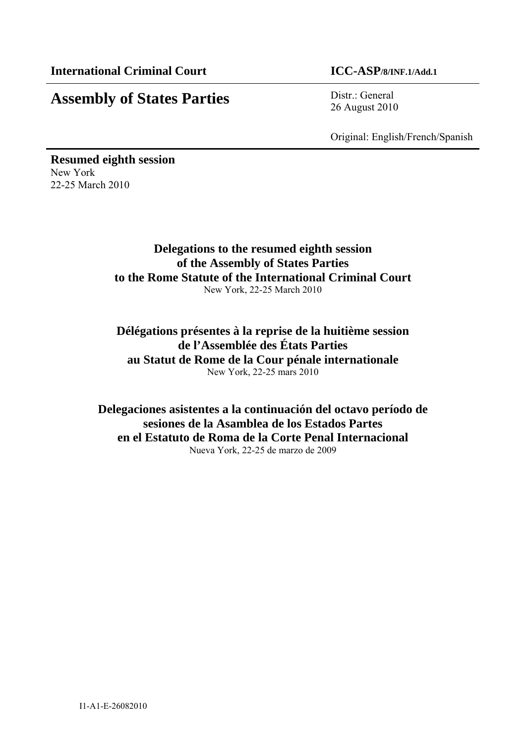# **Assembly of States Parties** Distr.: General

26 August 2010

Original: English/French/Spanish

**Resumed eighth session**  New York 22-25 March 2010

> **Delegations to the resumed eighth session of the Assembly of States Parties to the Rome Statute of the International Criminal Court**  New York, 22-25 March 2010

> **Délégations présentes à la reprise de la huitième session de l'Assemblée des États Parties au Statut de Rome de la Cour pénale internationale**  New York, 22-25 mars 2010

**Delegaciones asistentes a la continuación del octavo período de sesiones de la Asamblea de los Estados Partes en el Estatuto de Roma de la Corte Penal Internacional**  Nueva York, 22-25 de marzo de 2009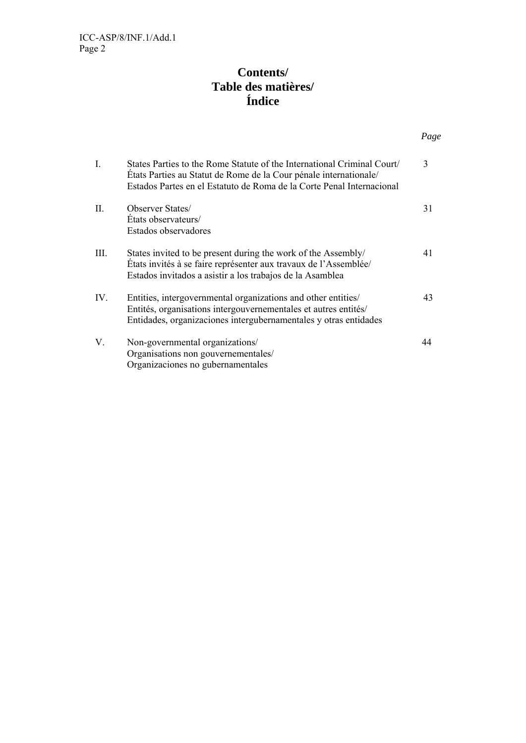# **Contents/ Table des matières/ Índice**

*Page*

| L    | States Parties to the Rome Statute of the International Criminal Court<br>États Parties au Statut de Rome de la Cour pénale internationale/<br>Estados Partes en el Estatuto de Roma de la Corte Penal Internacional | 3  |
|------|----------------------------------------------------------------------------------------------------------------------------------------------------------------------------------------------------------------------|----|
| Π.   | <b>Observer States</b><br>Etats observateurs/<br>Estados observadores                                                                                                                                                | 31 |
| III. | States invited to be present during the work of the Assembly/<br>États invités à se faire représenter aux travaux de l'Assemblée/<br>Estados invitados a asistir a los trabajos de la Asamblea                       | 41 |
| IV.  | Entities, intergovernmental organizations and other entities/<br>Entités, organisations intergouvernementales et autres entités/<br>Entidades, organizaciones intergubernamentales y otras entidades                 | 43 |
| V.   | Non-governmental organizations/<br>Organisations non gouvernementales/<br>Organizaciones no gubernamentales                                                                                                          | 44 |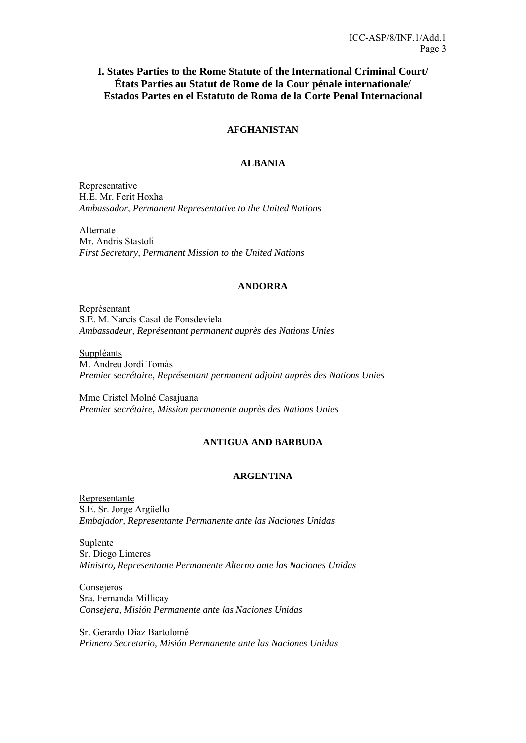# **I. States Parties to the Rome Statute of the International Criminal Court/ États Parties au Statut de Rome de la Cour pénale internationale/ Estados Partes en el Estatuto de Roma de la Corte Penal Internacional**

# **AFGHANISTAN**

# **ALBANIA**

Representative H.E. Mr. Ferit Hoxha *Ambassador, Permanent Representative to the United Nations* 

Alternate Mr. Andris Stastoli *First Secretary, Permanent Mission to the United Nations* 

### **ANDORRA**

Représentant S.E. M. Narcís Casal de Fonsdeviela *Ambassadeur, Représentant permanent auprès des Nations Unies* 

Suppléants

M. Andreu Jordi Tomàs *Premier secrétaire, Représentant permanent adjoint auprès des Nations Unies* 

Mme Cristel Molné Casajuana *Premier secrétaire, Mission permanente auprès des Nations Unies* 

# **ANTIGUA AND BARBUDA**

### **ARGENTINA**

Representante S.E. Sr. Jorge Argüello *Embajador, Representante Permanente ante las Naciones Unidas* 

Suplente Sr. Diego Limeres *Ministro, Representante Permanente Alterno ante las Naciones Unidas* 

Consejeros Sra. Fernanda Millicay *Consejera, Misión Permanente ante las Naciones Unidas* 

Sr. Gerardo Díaz Bartolomé *Primero Secretario, Misión Permanente ante las Naciones Unidas*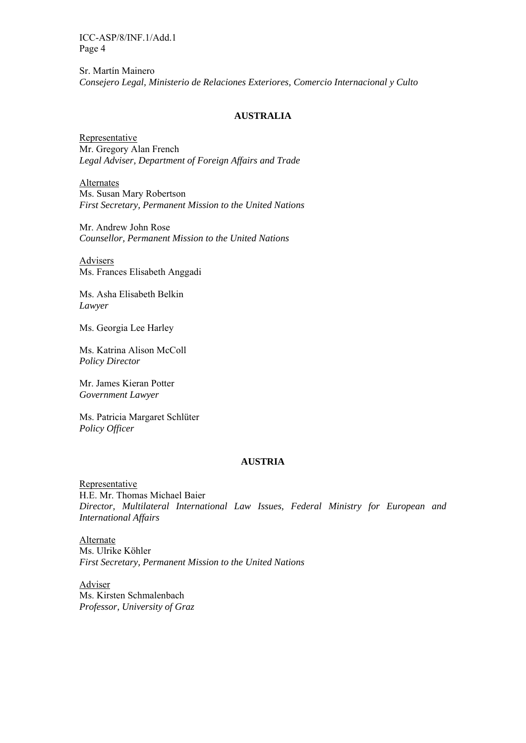Sr. Martín Mainero *Consejero Legal, Ministerio de Relaciones Exteriores, Comercio Internacional y Culto* 

### **AUSTRALIA**

Representative Mr. Gregory Alan French *Legal Adviser, Department of Foreign Affairs and Trade* 

Alternates Ms. Susan Mary Robertson *First Secretary, Permanent Mission to the United Nations* 

Mr. Andrew John Rose *Counsellor, Permanent Mission to the United Nations* 

Advisers Ms. Frances Elisabeth Anggadi

Ms. Asha Elisabeth Belkin *Lawyer* 

Ms. Georgia Lee Harley

Ms. Katrina Alison McColl *Policy Director* 

Mr. James Kieran Potter *Government Lawyer* 

Ms. Patricia Margaret Schlüter *Policy Officer* 

#### **AUSTRIA**

Representative H.E. Mr. Thomas Michael Baier *Director, Multilateral International Law Issues, Federal Ministry for European and International Affairs* 

Alternate Ms. Ulrike Köhler *First Secretary, Permanent Mission to the United Nations* 

Adviser Ms. Kirsten Schmalenbach *Professor, University of Graz*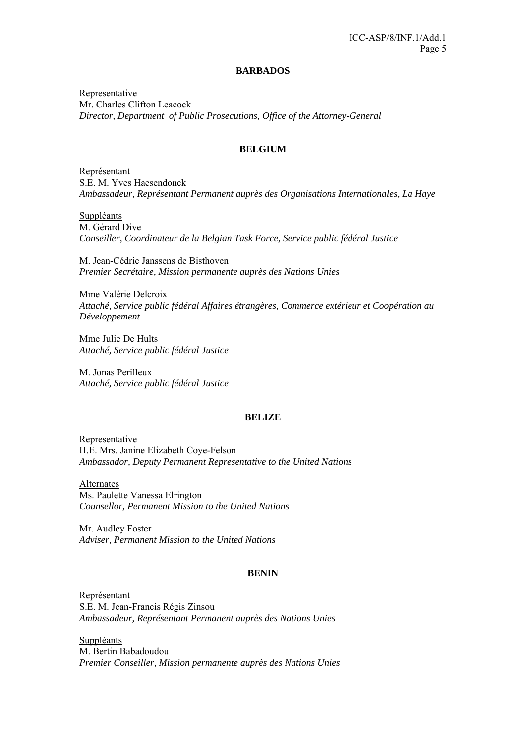#### **BARBADOS**

Representative Mr. Charles Clifton Leacock *Director, Department of Public Prosecutions, Office of the Attorney-General* 

### **BELGIUM**

Représentant S.E. M. Yves Haesendonck *Ambassadeur, Représentant Permanent auprès des Organisations Internationales, La Haye* 

**Suppléants** M. Gérard Dive *Conseiller, Coordinateur de la Belgian Task Force, Service public fédéral Justice* 

M. Jean-Cédric Janssens de Bisthoven *Premier Secrétaire, Mission permanente auprès des Nations Unies*

Mme Valérie Delcroix *Attaché, Service public fédéral Affaires étrangères, Commerce extérieur et Coopération au Développement* 

Mme Julie De Hults *Attaché, Service public fédéral Justice* 

M. Jonas Perilleux *Attaché, Service public fédéral Justice* 

#### **BELIZE**

Representative H.E. Mrs. Janine Elizabeth Coye-Felson *Ambassador, Deputy Permanent Representative to the United Nations* 

Alternates Ms. Paulette Vanessa Elrington *Counsellor, Permanent Mission to the United Nations*

Mr. Audley Foster *Adviser, Permanent Mission to the United Nations* 

### **BENIN**

Représentant S.E. M. Jean-Francis Régis Zinsou *Ambassadeur, Représentant Permanent auprès des Nations Unies* 

**Suppléants** M. Bertin Babadoudou *Premier Conseiller, Mission permanente auprès des Nations Unies*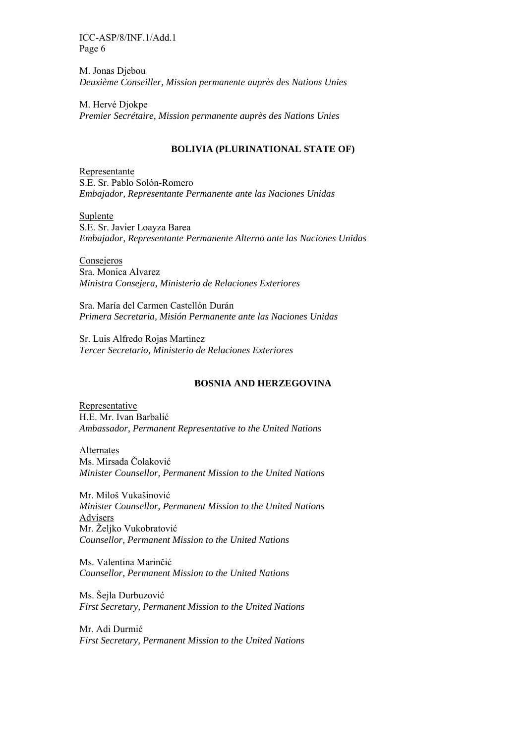M. Jonas Djebou *Deuxième Conseiller, Mission permanente auprès des Nations Unies*

M. Hervé Djokpe *Premier Secrétaire, Mission permanente auprès des Nations Unies*

### **BOLIVIA (PLURINATIONAL STATE OF)**

Representante S.E. Sr. Pablo Solón-Romero *Embajador, Representante Permanente ante las Naciones Unidas* 

Suplente S.E. Sr. Javier Loayza Barea *Embajador, Representante Permanente Alterno ante las Naciones Unidas*

**Consejeros** Sra. Monica Alvarez *Ministra Consejera, Ministerio de Relaciones Exteriores* 

Sra. María del Carmen Castellón Durán *Primera Secretaria, Misión Permanente ante las Naciones Unidas* 

Sr. Luis Alfredo Rojas Martinez *Tercer Secretario, Ministerio de Relaciones Exteriores* 

#### **BOSNIA AND HERZEGOVINA**

Representative H.E. Mr. Ivan Barbalić *Ambassador, Permanent Representative to the United Nations* 

Alternates Ms. Mirsada Čolaković *Minister Counsellor, Permanent Mission to the United Nations* 

Mr. Miloš Vukašinović *Minister Counsellor, Permanent Mission to the United Nations*  Advisers Mr. Željko Vukobratović *Counsellor, Permanent Mission to the United Nations* 

Ms. Valentina Marinčić *Counsellor, Permanent Mission to the United Nations* 

Ms. Šejla Durbuzović *First Secretary, Permanent Mission to the United Nations* 

Mr. Adi Durmić *First Secretary, Permanent Mission to the United Nations*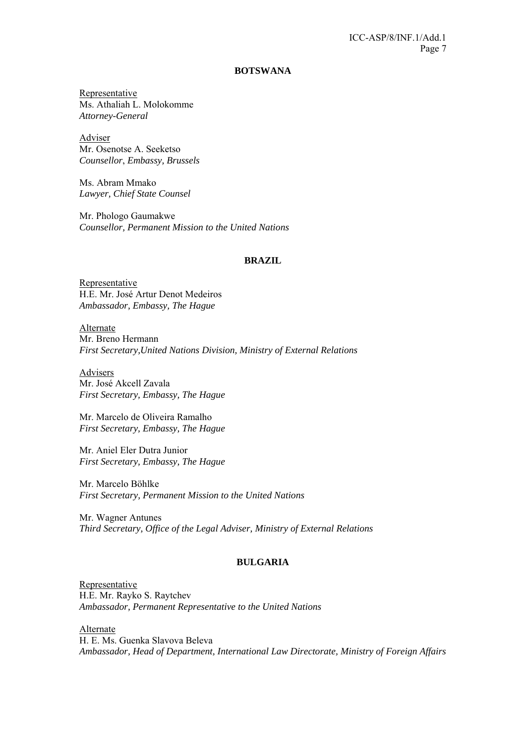#### **BOTSWANA**

Representative Ms. Athaliah L. Molokomme *Attorney-General* 

Adviser Mr. Osenotse A. Seeketso *Counsellor*, *Embassy, Brussels*

Ms. Abram Mmako *Lawyer, Chief State Counsel* 

Mr. Phologo Gaumakwe *Counsellor, Permanent Mission to the United Nations* 

#### **BRAZIL**

**Representative** H.E. Mr. José Artur Denot Medeiros *Ambassador, Embassy, The Hague* 

Alternate Mr. Breno Hermann *First Secretary,United Nations Division, Ministry of External Relations* 

Advisers Mr. José Akcell Zavala *First Secretary, Embassy, The Hague* 

Mr. Marcelo de Oliveira Ramalho *First Secretary, Embassy, The Hague* 

Mr. Aniel Eler Dutra Junior *First Secretary, Embassy, The Hague* 

Mr. Marcelo Böhlke *First Secretary, Permanent Mission to the United Nations* 

Mr. Wagner Antunes *Third Secretary, Office of the Legal Adviser, Ministry of External Relations* 

#### **BULGARIA**

Representative H.E. Mr. Rayko S. Raytchev *Ambassador, Permanent Representative to the United Nations* 

Alternate

H. E. Ms. Guenka Slavova Beleva *Ambassador, Head of Department, International Law Directorate, Ministry of Foreign Affairs*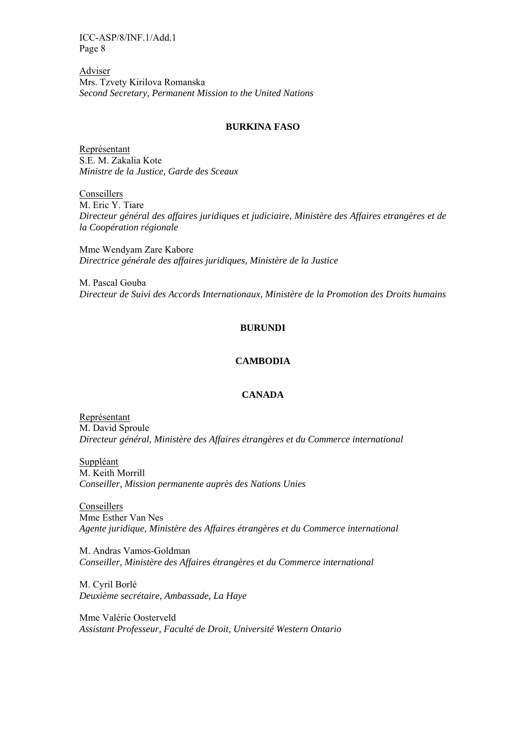Adviser Mrs. Tzvety Kirilova Romanska *Second Secretary, Permanent Mission to the United Nations* 

#### **BURKINA FASO**

Représentant S.E. M. Zakalia Kote *Ministre de la Justice, Garde des Sceaux* 

**Conseillers** M. Eric Y. Tiare *Directeur général des affaires juridiques et judiciaire, Ministère des Affaires etrangères et de la Coopération régionale* 

Mme Wendyam Zare Kabore *Directrice générale des affaires juridiques, Ministère de la Justice* 

M. Pascal Gouba *Directeur de Suivi des Accords Internationaux, Ministère de la Promotion des Droits humains* 

### **BURUNDI**

### **CAMBODIA**

#### **CANADA**

Représentant M. David Sproule *Directeur général, Ministère des Affaires étrangères et du Commerce international* 

Suppléant M. Keith Morrill *Conseiller, Mission permanente auprès des Nations Unies* 

**Conseillers** Mme Esther Van Nes *Agente juridique, Ministère des Affaires étrangères et du Commerce international* 

M. Andras Vamos-Goldman *Conseiller, Ministère des Affaires étrangères et du Commerce international* 

M. Cyril Borlé *Deuxième secrétaire, Ambassade, La Haye* 

Mme Valérie Oosterveld *Assistant Professeur, Faculté de Droit, Université Western Ontario*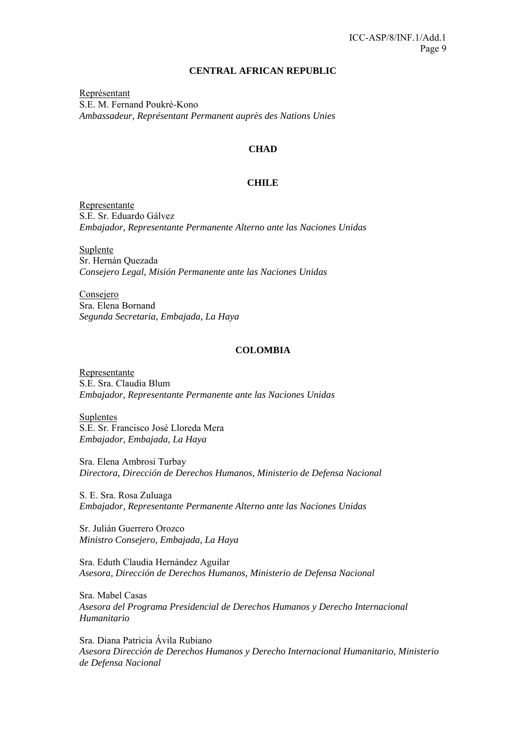#### **CENTRAL AFRICAN REPUBLIC**

Représentant S.E. M. Fernand Poukré-Kono *Ambassadeur, Représentant Permanent auprès des Nations Unies* 

### **CHAD**

### **CHILE**

Representante S.E. Sr. Eduardo Gálvez *Embajador, Representante Permanente Alterno ante las Naciones Unidas* 

Suplente Sr. Hernán Quezada *Consejero Legal, Misión Permanente ante las Naciones Unidas* 

Consejero Sra. Elena Bornand *Segunda Secretaria, Embajada, La Haya* 

#### **COLOMBIA**

Representante S.E. Sra. Claudia Blum *Embajador, Representante Permanente ante las Naciones Unidas* 

Suplentes S.E. Sr. Francisco José Lloreda Mera *Embajador, Embajada, La Haya* 

Sra. Elena Ambrosi Turbay *Directora, Dirección de Derechos Humanos, Ministerio de Defensa Nacional* 

S. E. Sra. Rosa Zuluaga *Embajador, Representante Permanente Alterno ante las Naciones Unidas* 

Sr. Julián Guerrero Orozco *Ministro Consejero, Embajada, La Haya* 

Sra. Eduth Claudia Hernández Aguilar *Asesora, Dirección de Derechos Humanos, Ministerio de Defensa Nacional* 

Sra. Mabel Casas *Asesora del Programa Presidencial de Derechos Humanos y Derecho Internacional Humanitario* 

Sra. Diana Patricia Ávila Rubiano *Asesora Dirección de Derechos Humanos y Derecho Internacional Humanitario, Ministerio de Defensa Nacional*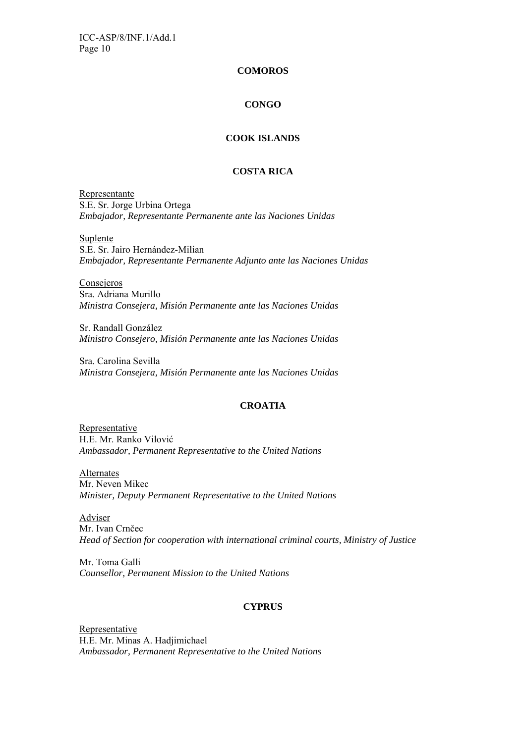### **COMOROS**

### **CONGO**

### **COOK ISLANDS**

# **COSTA RICA**

Representante S.E. Sr. Jorge Urbina Ortega *Embajador, Representante Permanente ante las Naciones Unidas* 

**Suplente** 

S.E. Sr. Jairo Hernández-Milian *Embajador, Representante Permanente Adjunto ante las Naciones Unidas*

**Consejeros** Sra. Adriana Murillo *Ministra Consejera, Misión Permanente ante las Naciones Unidas* 

Sr. Randall González *Ministro Consejero, Misión Permanente ante las Naciones Unidas* 

Sra. Carolina Sevilla *Ministra Consejera, Misión Permanente ante las Naciones Unidas* 

### **CROATIA**

Representative H.E. Mr. Ranko Vilović *Ambassador, Permanent Representative to the United Nations* 

Alternates Mr. Neven Mikec *Minister, Deputy Permanent Representative to the United Nations* 

Adviser Mr. Ivan Crnčec *Head of Section for cooperation with international criminal courts, Ministry of Justice* 

Mr. Toma Galli *Counsellor, Permanent Mission to the United Nations* 

### **CYPRUS**

**Representative** H.E. Mr. Minas A. Hadjimichael *Ambassador, Permanent Representative to the United Nations*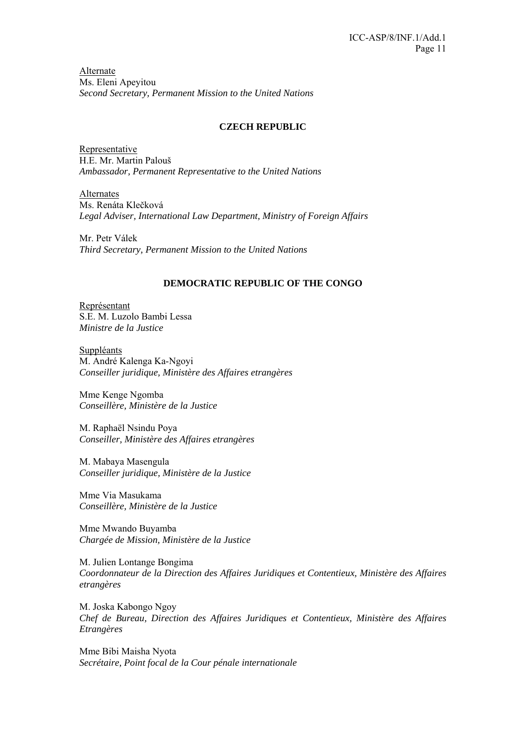Alternate Ms. Eleni Apeyitou *Second Secretary, Permanent Mission to the United Nations* 

### **CZECH REPUBLIC**

**Representative** H.E. Mr. Martin Palouš *Ambassador, Permanent Representative to the United Nations* 

Alternates Ms. Renáta Klečková *Legal Adviser, International Law Department, Ministry of Foreign Affairs* 

Mr. Petr Válek *Third Secretary, Permanent Mission to the United Nations* 

### **DEMOCRATIC REPUBLIC OF THE CONGO**

Représentant S.E. M. Luzolo Bambi Lessa *Ministre de la Justice* 

Suppléants M. André Kalenga Ka-Ngoyi *Conseiller juridique, Ministère des Affaires etrangères*

Mme Kenge Ngomba *Conseillère, Ministère de la Justice* 

M. Raphaël Nsindu Poya *Conseiller, Ministère des Affaires etrangères* 

M. Mabaya Masengula *Conseiller juridique, Ministère de la Justice* 

Mme Via Masukama *Conseillère, Ministère de la Justice* 

Mme Mwando Buyamba *Chargée de Mission, Ministère de la Justice* 

M. Julien Lontange Bongima *Coordonnateur de la Direction des Affaires Juridiques et Contentieux, Ministère des Affaires etrangères* 

M. Joska Kabongo Ngoy *Chef de Bureau, Direction des Affaires Juridiques et Contentieux, Ministère des Affaires Etrangères*

Mme Bibi Maisha Nyota *Secrétaire, Point focal de la Cour pénale internationale*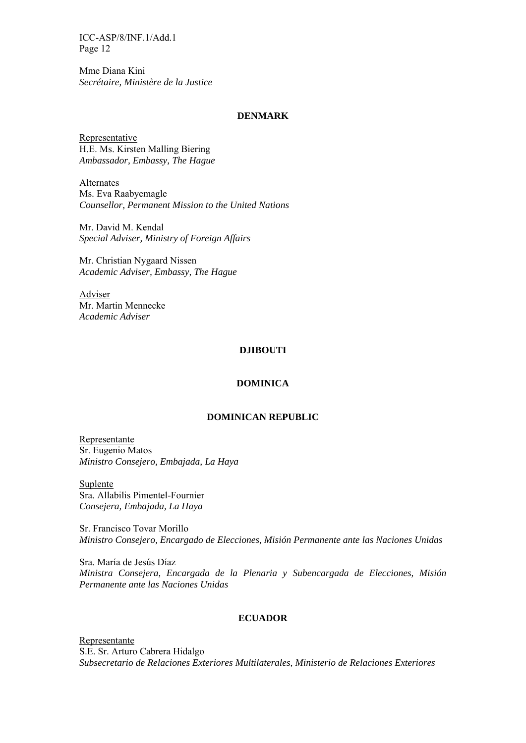Mme Diana Kini *Secrétaire, Ministère de la Justice* 

# **DENMARK**

Representative H.E. Ms. Kirsten Malling Biering *Ambassador, Embassy, The Hague* 

Alternates Ms. Eva Raabyemagle *Counsellor, Permanent Mission to the United Nations* 

Mr. David M. Kendal *Special Adviser, Ministry of Foreign Affairs* 

Mr. Christian Nygaard Nissen *Academic Adviser, Embassy, The Hague* 

**Adviser** Mr. Martin Mennecke *Academic Adviser* 

#### **DJIBOUTI**

#### **DOMINICA**

#### **DOMINICAN REPUBLIC**

Representante Sr. Eugenio Matos *Ministro Consejero, Embajada, La Haya* 

Suplente Sra. Allabilis Pimentel-Fournier *Consejera, Embajada, La Haya* 

Sr. Francisco Tovar Morillo *Ministro Consejero, Encargado de Elecciones, Misión Permanente ante las Naciones Unidas* 

Sra. María de Jesús Díaz *Ministra Consejera, Encargada de la Plenaria y Subencargada de Elecciones, Misión Permanente ante las Naciones Unidas* 

#### **ECUADOR**

Representante S.E. Sr. Arturo Cabrera Hidalgo *Subsecretario de Relaciones Exteriores Multilaterales, Ministerio de Relaciones Exteriores*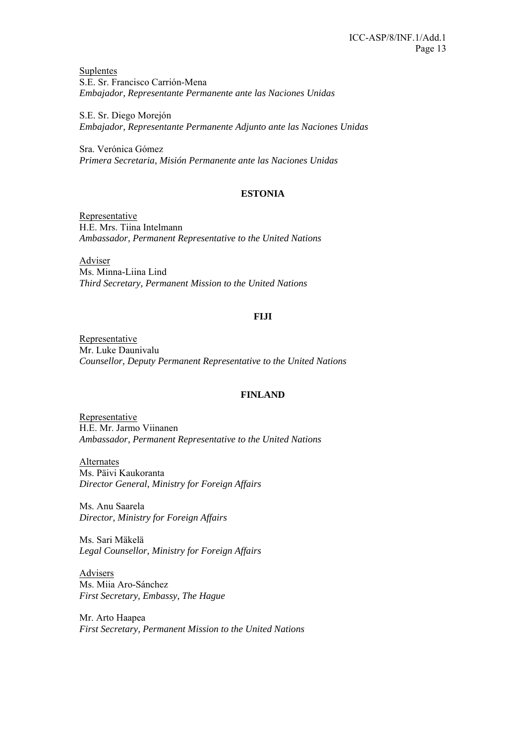Suplentes S.E. Sr. Francisco Carrión-Mena *Embajador, Representante Permanente ante las Naciones Unidas* 

S.E. Sr. Diego Morejón *Embajador, Representante Permanente Adjunto ante las Naciones Unidas*

Sra. Verónica Gómez *Primera Secretaria, Misión Permanente ante las Naciones Unidas* 

# **ESTONIA**

**Representative** H.E. Mrs. Tiina Intelmann *Ambassador, Permanent Representative to the United Nations* 

Adviser Ms. Minna-Liina Lind *Third Secretary, Permanent Mission to the United Nations* 

# **FIJI**

Representative Mr. Luke Daunivalu *Counsellor, Deputy Permanent Representative to the United Nations*

### **FINLAND**

Representative H.E. Mr. Jarmo Viinanen *Ambassador, Permanent Representative to the United Nations* 

**Alternates** Ms. Päivi Kaukoranta *Director General, Ministry for Foreign Affairs* 

Ms. Anu Saarela *Director, Ministry for Foreign Affairs* 

Ms. Sari Mäkelä *Legal Counsellor, Ministry for Foreign Affairs* 

Advisers Ms. Miia Aro-Sánchez *First Secretary, Embassy, The Hague* 

Mr. Arto Haapea *First Secretary, Permanent Mission to the United Nations*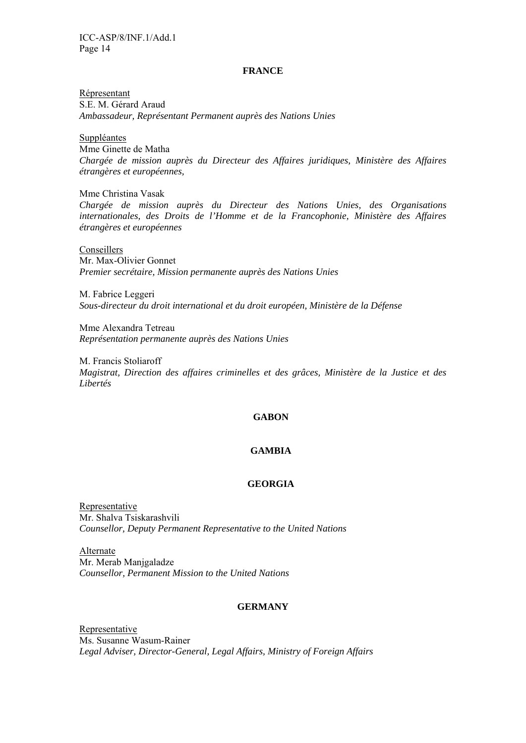#### **FRANCE**

Répresentant S.E. M. Gérard Araud *Ambassadeur, Représentant Permanent auprès des Nations Unies* 

Suppléantes Mme Ginette de Matha *Chargée de mission auprès du Directeur des Affaires juridiques, Ministère des Affaires étrangères et européennes,* 

Mme Christina Vasak *Chargée de mission auprès du Directeur des Nations Unies, des Organisations internationales, des Droits de l'Homme et de la Francophonie, Ministère des Affaires étrangères et européennes* 

Conseillers Mr. Max-Olivier Gonnet *Premier secrétaire, Mission permanente auprès des Nations Unies* 

M. Fabrice Leggeri *Sous-directeur du droit international et du droit européen, Ministère de la Défense* 

Mme Alexandra Tetreau *Représentation permanente auprès des Nations Unies*

M. Francis Stoliaroff *Magistrat, Direction des affaires criminelles et des grâces, Ministère de la Justice et des Libertés* 

# **GABON**

### **GAMBIA**

#### **GEORGIA**

Representative Mr. Shalva Tsiskarashvili *Counsellor, Deputy Permanent Representative to the United Nations* 

Alternate Mr. Merab Manjgaladze *Counsellor, Permanent Mission to the United Nations* 

# **GERMANY**

Representative Ms. Susanne Wasum-Rainer *Legal Adviser, Director-General, Legal Affairs, Ministry of Foreign Affairs*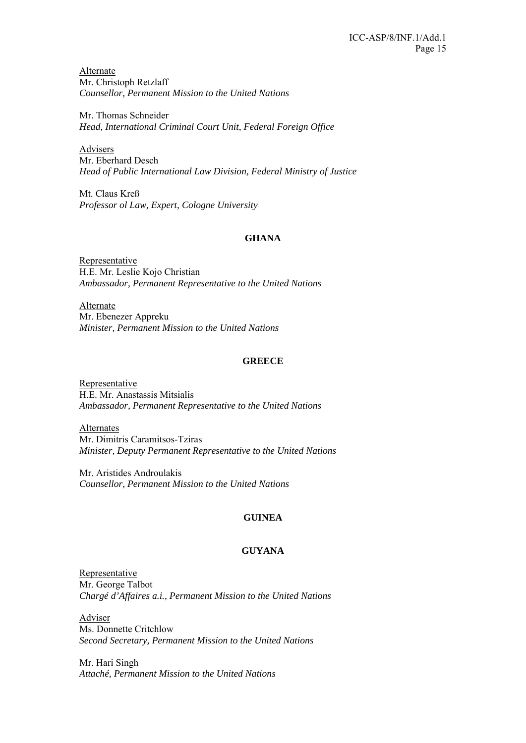Alternate Mr. Christoph Retzlaff *Counsellor, Permanent Mission to the United Nations* 

Mr. Thomas Schneider *Head, International Criminal Court Unit, Federal Foreign Office* 

Advisers Mr. Eberhard Desch *Head of Public International Law Division, Federal Ministry of Justice* 

Mt. Claus Kreß *Professor ol Law, Expert, Cologne University* 

# **GHANA**

Representative H.E. Mr. Leslie Kojo Christian *Ambassador, Permanent Representative to the United Nations* 

Alternate Mr. Ebenezer Appreku *Minister, Permanent Mission to the United Nations* 

### **GREECE**

Representative H.E. Mr. Anastassis Mitsialis *Ambassador, Permanent Representative to the United Nations* 

Alternates Mr. Dimitris Caramitsos-Tziras *Minister, Deputy Permanent Representative to the United Nations* 

Mr. Aristides Androulakis *Counsellor, Permanent Mission to the United Nations* 

# **GUINEA**

### **GUYANA**

Representative Mr. George Talbot *Chargé d'Affaires a.i., Permanent Mission to the United Nations* 

Adviser Ms. Donnette Critchlow *Second Secretary, Permanent Mission to the United Nations* 

Mr. Hari Singh *Attaché, Permanent Mission to the United Nations*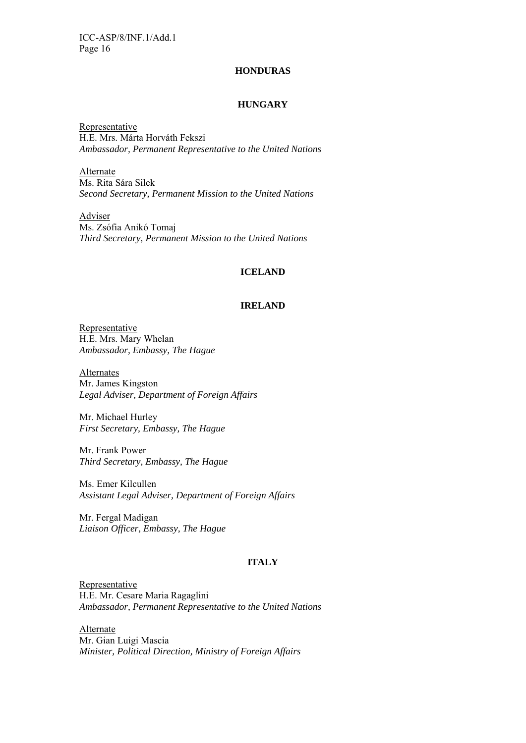#### **HONDURAS**

#### **HUNGARY**

Representative H.E. Mrs. Márta Horváth Fekszi *Ambassador, Permanent Representative to the United Nations* 

Alternate Ms. Rita Sára Silek *Second Secretary, Permanent Mission to the United Nations* 

**Adviser** Ms. Zsófia Anikó Tomaj *Third Secretary, Permanent Mission to the United Nations* 

### **ICELAND**

# **IRELAND**

Representative H.E. Mrs. Mary Whelan *Ambassador, Embassy, The Hague* 

**Alternates** Mr. James Kingston *Legal Adviser, Department of Foreign Affairs* 

Mr. Michael Hurley *First Secretary, Embassy, The Hague* 

Mr. Frank Power *Third Secretary, Embassy, The Hague* 

Ms. Emer Kilcullen *Assistant Legal Adviser, Department of Foreign Affairs* 

Mr. Fergal Madigan *Liaison Officer, Embassy, The Hague* 

#### **ITALY**

Representative H.E. Mr. Cesare Maria Ragaglini *Ambassador, Permanent Representative to the United Nations* 

Alternate Mr. Gian Luigi Mascia *Minister, Political Direction, Ministry of Foreign Affairs*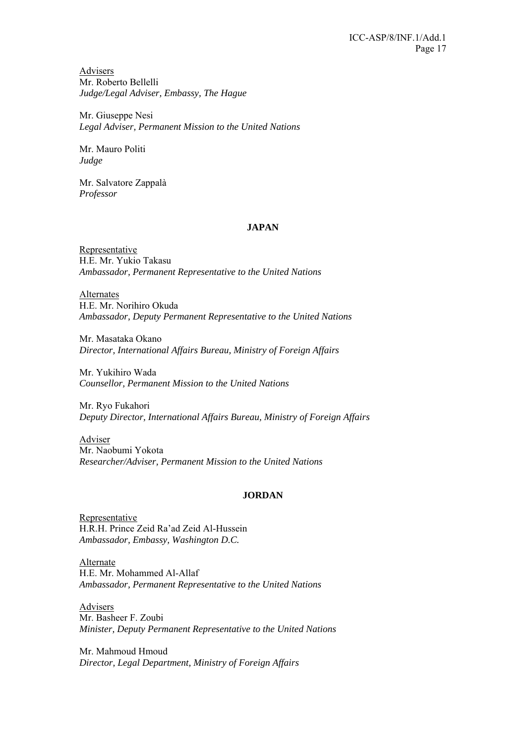Advisers Mr. Roberto Bellelli *Judge/Legal Adviser, Embassy, The Hague* 

Mr. Giuseppe Nesi *Legal Adviser, Permanent Mission to the United Nations* 

Mr. Mauro Politi *Judge* 

Mr. Salvatore Zappalà *Professor* 

#### **JAPAN**

Representative H.E. Mr. Yukio Takasu *Ambassador, Permanent Representative to the United Nations* 

Alternates H.E. Mr. Norihiro Okuda *Ambassador, Deputy Permanent Representative to the United Nations* 

Mr. Masataka Okano *Director, International Affairs Bureau, Ministry of Foreign Affairs* 

Mr. Yukihiro Wada *Counsellor, Permanent Mission to the United Nations*

Mr. Ryo Fukahori *Deputy Director, International Affairs Bureau, Ministry of Foreign Affairs*

Adviser Mr. Naobumi Yokota *Researcher/Adviser, Permanent Mission to the United Nations* 

### **JORDAN**

Representative H.R.H. Prince Zeid Ra'ad Zeid Al-Hussein *Ambassador, Embassy, Washington D.C.* 

Alternate H.E. Mr. Mohammed Al-Allaf *Ambassador, Permanent Representative to the United Nations* 

Advisers Mr. Basheer F. Zoubi *Minister, Deputy Permanent Representative to the United Nations* 

Mr. Mahmoud Hmoud *Director, Legal Department, Ministry of Foreign Affairs*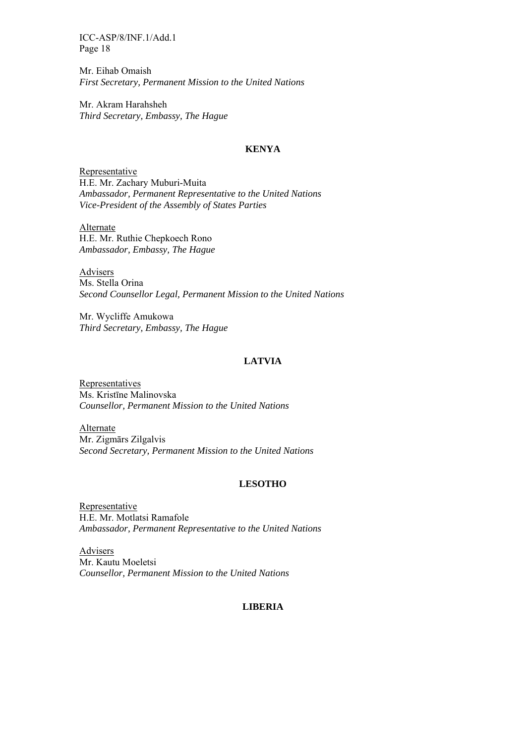Mr. Eihab Omaish *First Secretary, Permanent Mission to the United Nations* 

Mr. Akram Harahsheh *Third Secretary, Embassy, The Hague* 

### **KENYA**

Representative H.E. Mr. Zachary Muburi-Muita *Ambassador, Permanent Representative to the United Nations Vice-President of the Assembly of States Parties* 

Alternate H.E. Mr. Ruthie Chepkoech Rono *Ambassador, Embassy, The Hague* 

Advisers Ms. Stella Orina *Second Counsellor Legal, Permanent Mission to the United Nations* 

Mr. Wycliffe Amukowa *Third Secretary, Embassy, The Hague* 

### **LATVIA**

Representatives Ms. Kristīne Malinovska *Counsellor, Permanent Mission to the United Nations* 

Alternate Mr. Zigmārs Zilgalvis *Second Secretary, Permanent Mission to the United Nations* 

#### **LESOTHO**

Representative H.E. Mr. Motlatsi Ramafole *Ambassador, Permanent Representative to the United Nations* 

**Advisers** Mr. Kautu Moeletsi *Counsellor, Permanent Mission to the United Nations* 

### **LIBERIA**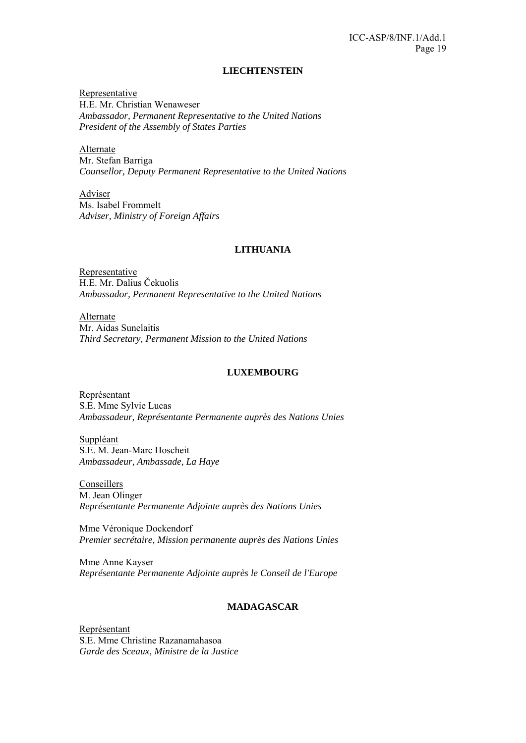#### **LIECHTENSTEIN**

Representative H.E. Mr. Christian Wenaweser *Ambassador, Permanent Representative to the United Nations President of the Assembly of States Parties* 

Alternate Mr. Stefan Barriga *Counsellor, Deputy Permanent Representative to the United Nations* 

Adviser Ms. Isabel Frommelt *Adviser, Ministry of Foreign Affairs* 

# **LITHUANIA**

Representative H.E. Mr. Dalius Čekuolis *Ambassador, Permanent Representative to the United Nations* 

Alternate Mr. Aidas Sunelaitis *Third Secretary, Permanent Mission to the United Nations* 

### **LUXEMBOURG**

Représentant S.E. Mme Sylvie Lucas *Ambassadeur, Représentante Permanente auprès des Nations Unies* 

Suppléant S.E. M. Jean-Marc Hoscheit *Ambassadeur, Ambassade, La Haye* 

Conseillers M. Jean Olinger *Représentante Permanente Adjointe auprès des Nations Unies* 

Mme Véronique Dockendorf *Premier secrétaire, Mission permanente auprès des Nations Unies* 

Mme Anne Kayser *Représentante Permanente Adjointe auprès le Conseil de l'Europe* 

# **MADAGASCAR**

Représentant S.E. Mme Christine Razanamahasoa *Garde des Sceaux, Ministre de la Justice*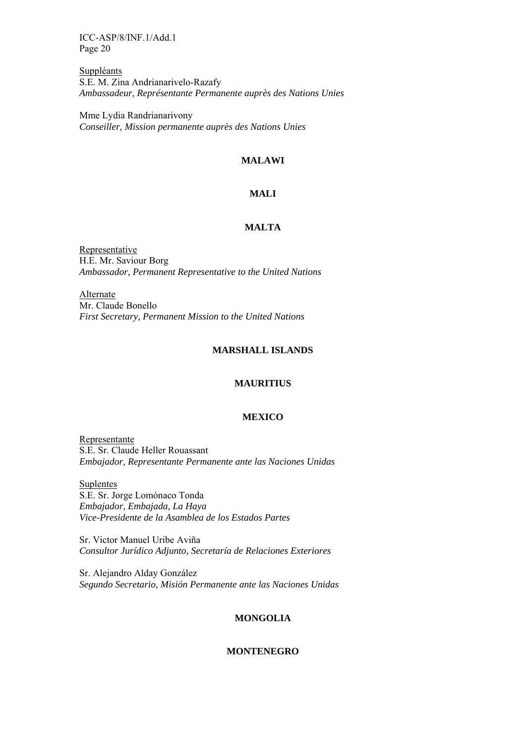Suppléants S.E. M. Zina Andrianarivelo-Razafy *Ambassadeur, Représentante Permanente auprès des Nations Unies* 

Mme Lydia Randrianarivony *Conseiller, Mission permanente auprès des Nations Unies* 

# **MALAWI**

# **MALI**

#### **MALTA**

Representative H.E. Mr. Saviour Borg *Ambassador, Permanent Representative to the United Nations* 

Alternate Mr. Claude Bonello *First Secretary, Permanent Mission to the United Nations*

#### **MARSHALL ISLANDS**

#### **MAURITIUS**

#### **MEXICO**

Representante S.E. Sr. Claude Heller Rouassant *Embajador, Representante Permanente ante las Naciones Unidas*

Suplentes

S.E. Sr. Jorge Lomónaco Tonda *Embajador, Embajada, La Haya Vice-Presidente de la Asamblea de los Estados Partes* 

Sr. Victor Manuel Uribe Aviña *Consultor Jurídico Adjunto, Secretaría de Relaciones Exteriores* 

Sr. Alejandro Alday González *Segundo Secretario, Misión Permanente ante las Naciones Unidas* 

#### **MONGOLIA**

#### **MONTENEGRO**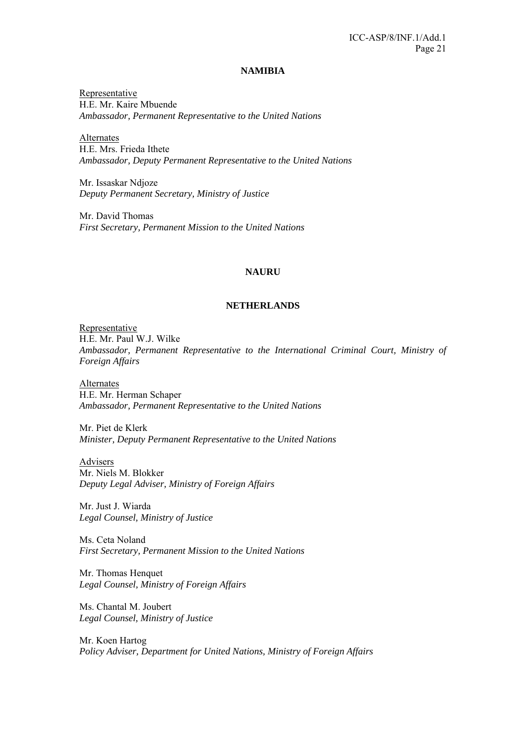#### **NAMIBIA**

Representative H.E. Mr. Kaire Mbuende *Ambassador, Permanent Representative to the United Nations* 

Alternates H.E. Mrs. Frieda Ithete *Ambassador, Deputy Permanent Representative to the United Nations*

Mr. Issaskar Ndjoze *Deputy Permanent Secretary, Ministry of Justice* 

Mr. David Thomas *First Secretary, Permanent Mission to the United Nations* 

#### **NAURU**

#### **NETHERLANDS**

Representative H.E. Mr. Paul W.J. Wilke *Ambassador, Permanent Representative to the International Criminal Court, Ministry of Foreign Affairs* 

Alternates H.E. Mr. Herman Schaper *Ambassador, Permanent Representative to the United Nations* 

Mr. Piet de Klerk *Minister, Deputy Permanent Representative to the United Nations* 

Advisers Mr. Niels M. Blokker *Deputy Legal Adviser, Ministry of Foreign Affairs* 

Mr. Just J. Wiarda *Legal Counsel, Ministry of Justice* 

Ms. Ceta Noland *First Secretary, Permanent Mission to the United Nations* 

Mr. Thomas Henquet *Legal Counsel, Ministry of Foreign Affairs* 

Ms. Chantal M. Joubert *Legal Counsel, Ministry of Justice* 

Mr. Koen Hartog *Policy Adviser, Department for United Nations, Ministry of Foreign Affairs*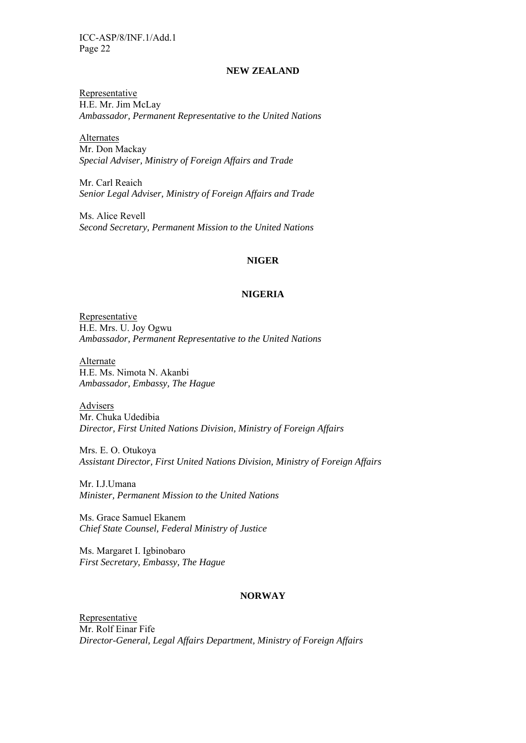# **NEW ZEALAND**

Representative H.E. Mr. Jim McLay *Ambassador, Permanent Representative to the United Nations* 

Alternates Mr. Don Mackay *Special Adviser, Ministry of Foreign Affairs and Trade*

Mr. Carl Reaich *Senior Legal Adviser, Ministry of Foreign Affairs and Trade* 

Ms. Alice Revell *Second Secretary, Permanent Mission to the United Nations*

#### **NIGER**

#### **NIGERIA**

Representative H.E. Mrs. U. Joy Ogwu *Ambassador, Permanent Representative to the United Nations*

Alternate H.E. Ms. Nimota N. Akanbi *Ambassador, Embassy, The Hague* 

Advisers Mr. Chuka Udedibia *Director, First United Nations Division, Ministry of Foreign Affairs* 

Mrs. E. O. Otukoya *Assistant Director, First United Nations Division, Ministry of Foreign Affairs* 

Mr. I.J.Umana *Minister, Permanent Mission to the United Nations*

Ms. Grace Samuel Ekanem *Chief State Counsel, Federal Ministry of Justice* 

Ms. Margaret I. Igbinobaro *First Secretary, Embassy, The Hague* 

#### **NORWAY**

Representative Mr. Rolf Einar Fife *Director-General, Legal Affairs Department, Ministry of Foreign Affairs*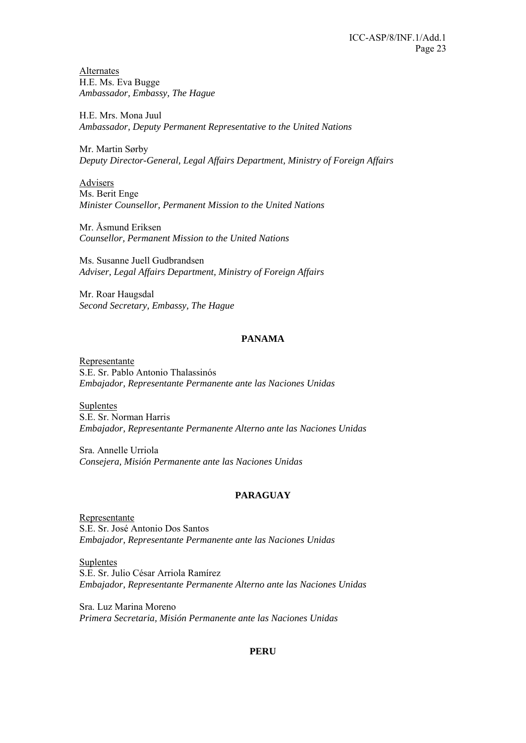Alternates H.E. Ms. Eva Bugge *Ambassador, Embassy, The Hague* 

H.E. Mrs. Mona Juul *Ambassador, Deputy Permanent Representative to the United Nations*

Mr. Martin Sørby *Deputy Director-General, Legal Affairs Department, Ministry of Foreign Affairs* 

Advisers Ms. Berit Enge *Minister Counsellor, Permanent Mission to the United Nations* 

Mr. Åsmund Eriksen *Counsellor, Permanent Mission to the United Nations* 

Ms. Susanne Juell Gudbrandsen *Adviser, Legal Affairs Department, Ministry of Foreign Affairs* 

Mr. Roar Haugsdal *Second Secretary, Embassy, The Hague* 

# **PANAMA**

Representante S.E. Sr. Pablo Antonio Thalassinós *Embajador, Representante Permanente ante las Naciones Unidas*

Suplentes S.E. Sr. Norman Harris *Embajador, Representante Permanente Alterno ante las Naciones Unidas* 

Sra. Annelle Urriola *Consejera, Misión Permanente ante las Naciones Unidas* 

### **PARAGUAY**

Representante S.E. Sr. José Antonio Dos Santos *Embajador, Representante Permanente ante las Naciones Unidas*

Suplentes S.E. Sr. Julio César Arriola Ramírez *Embajador, Representante Permanente Alterno ante las Naciones Unidas* 

Sra. Luz Marina Moreno *Primera Secretaria, Misión Permanente ante las Naciones Unidas* 

#### **PERU**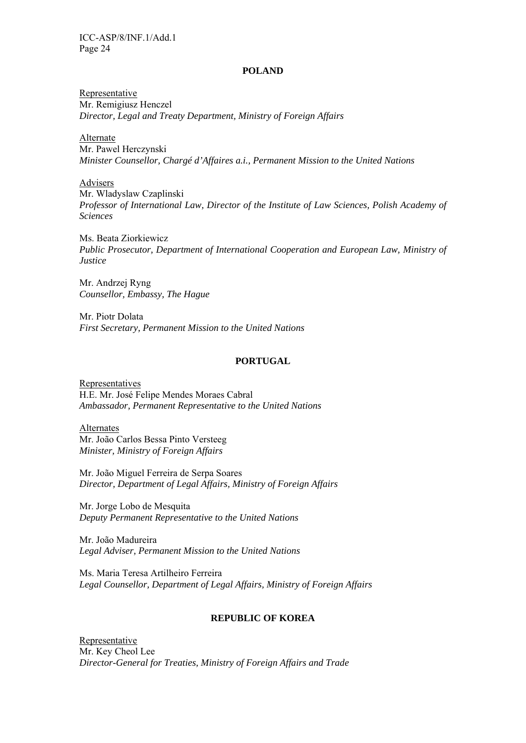#### **POLAND**

Representative Mr. Remigiusz Henczel *Director, Legal and Treaty Department, Ministry of Foreign Affairs* 

Alternate

Mr. Pawel Herczynski *Minister Counsellor, Chargé d'Affaires a.i., Permanent Mission to the United Nations* 

Advisers

Mr. Wladyslaw Czaplinski *Professor of International Law, Director of the Institute of Law Sciences, Polish Academy of Sciences* 

Ms. Beata Ziorkiewicz *Public Prosecutor, Department of International Cooperation and European Law, Ministry of Justice* 

Mr. Andrzej Ryng *Counsellor, Embassy, The Hague* 

Mr. Piotr Dolata *First Secretary, Permanent Mission to the United Nations* 

### **PORTUGAL**

Representatives H.E. Mr. José Felipe Mendes Moraes Cabral *Ambassador, Permanent Representative to the United Nations* 

Alternates Mr. João Carlos Bessa Pinto Versteeg *Minister, Ministry of Foreign Affairs* 

Mr. João Miguel Ferreira de Serpa Soares *Director, Department of Legal Affairs, Ministry of Foreign Affairs* 

Mr. Jorge Lobo de Mesquita *Deputy Permanent Representative to the United Nations*

Mr. João Madureira *Legal Adviser, Permanent Mission to the United Nations* 

Ms. Maria Teresa Artilheiro Ferreira *Legal Counsellor, Department of Legal Affairs, Ministry of Foreign Affairs* 

#### **REPUBLIC OF KOREA**

Representative Mr. Key Cheol Lee *Director-General for Treaties, Ministry of Foreign Affairs and Trade*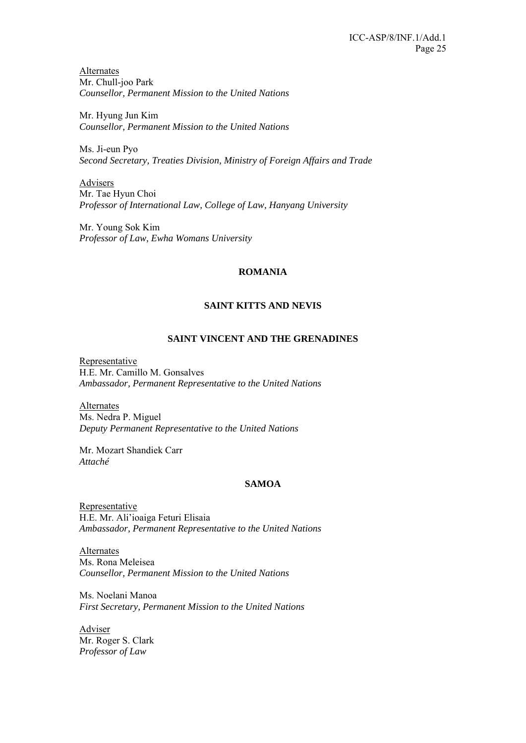Alternates Mr. Chull-joo Park *Counsellor, Permanent Mission to the United Nations* 

Mr. Hyung Jun Kim *Counsellor, Permanent Mission to the United Nations* 

Ms. Ji-eun Pyo *Second Secretary, Treaties Division, Ministry of Foreign Affairs and Trade* 

Advisers Mr. Tae Hyun Choi *Professor of International Law, College of Law, Hanyang University* 

Mr. Young Sok Kim *Professor of Law, Ewha Womans University* 

### **ROMANIA**

# **SAINT KITTS AND NEVIS**

# **SAINT VINCENT AND THE GRENADINES**

Representative H.E. Mr. Camillo M. Gonsalves *Ambassador, Permanent Representative to the United Nations* 

Alternates Ms. Nedra P. Miguel *Deputy Permanent Representative to the United Nations* 

Mr. Mozart Shandiek Carr *Attaché* 

### **SAMOA**

Representative H.E. Mr. Ali'ioaiga Feturi Elisaia *Ambassador, Permanent Representative to the United Nations* 

Alternates Ms. Rona Meleisea *Counsellor, Permanent Mission to the United Nations* 

Ms. Noelani Manoa *First Secretary, Permanent Mission to the United Nations* 

**Adviser** Mr. Roger S. Clark *Professor of Law*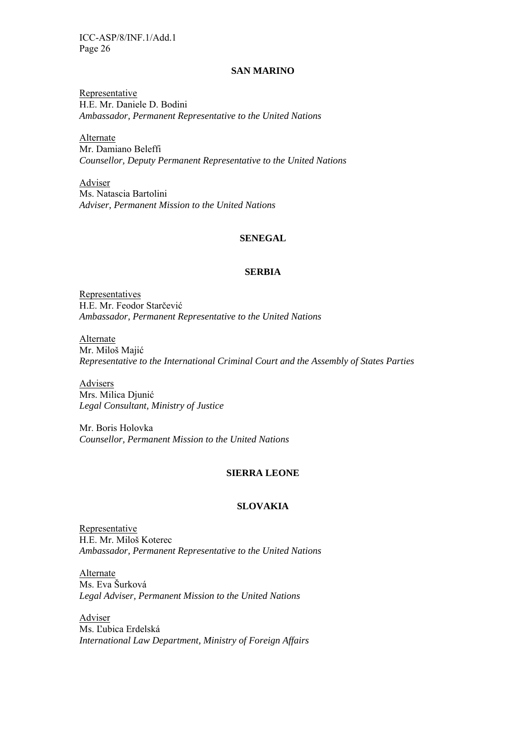#### **SAN MARINO**

Representative H.E. Mr. Daniele D. Bodini *Ambassador, Permanent Representative to the United Nations* 

Alternate Mr. Damiano Beleffi *Counsellor, Deputy Permanent Representative to the United Nations* 

Adviser Ms. Natascia Bartolini *Adviser, Permanent Mission to the United Nations* 

### **SENEGAL**

#### **SERBIA**

**Representatives** H.E. Mr. Feodor Starčević *Ambassador, Permanent Representative to the United Nations* 

Alternate Mr. Miloš Majić *Representative to the International Criminal Court and the Assembly of States Parties* 

Advisers Mrs. Milica Djunić *Legal Consultant, Ministry of Justice* 

Mr. Boris Holovka *Counsellor, Permanent Mission to the United Nations* 

#### **SIERRA LEONE**

#### **SLOVAKIA**

Representative H.E. Mr. Miloš Koterec *Ambassador, Permanent Representative to the United Nations* 

Alternate Ms. Eva Šurková *Legal Adviser, Permanent Mission to the United Nations* 

Adviser Ms. Ľubica Erdelská *International Law Department, Ministry of Foreign Affairs*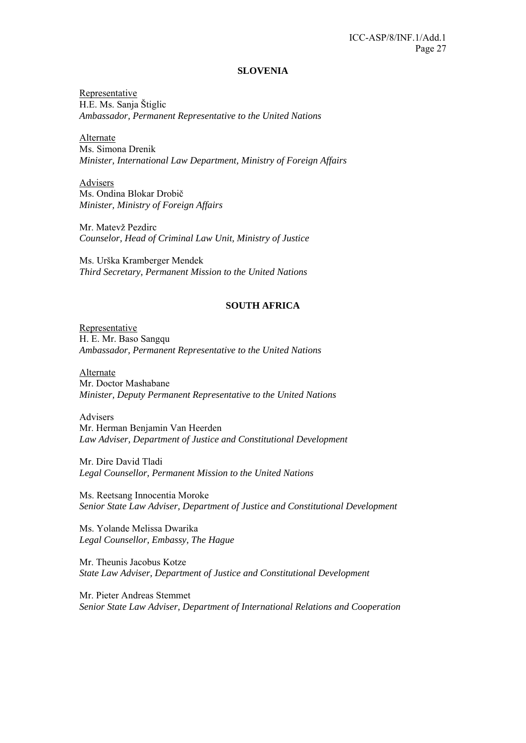#### **SLOVENIA**

Representative H.E. Ms. Sanja Štiglic *Ambassador, Permanent Representative to the United Nations* 

Alternate Ms. Simona Drenik *Minister, International Law Department, Ministry of Foreign Affairs* 

Advisers Ms. Ondina Blokar Drobič *Minister, Ministry of Foreign Affairs* 

Mr. Matevž Pezdirc *Counselor, Head of Criminal Law Unit, Ministry of Justice* 

Ms. Urška Kramberger Mendek *Third Secretary, Permanent Mission to the United Nations* 

#### **SOUTH AFRICA**

Representative H. E. Mr. Baso Sangqu *Ambassador, Permanent Representative to the United Nations* 

Alternate Mr. Doctor Mashabane *Minister, Deputy Permanent Representative to the United Nations*

Advisers Mr. Herman Benjamin Van Heerden *Law Adviser, Department of Justice and Constitutional Development* 

Mr. Dire David Tladi *Legal Counsellor, Permanent Mission to the United Nations* 

Ms. Reetsang Innocentia Moroke *Senior State Law Adviser, Department of Justice and Constitutional Development* 

Ms. Yolande Melissa Dwarika *Legal Counsellor, Embassy, The Hague* 

Mr. Theunis Jacobus Kotze *State Law Adviser, Department of Justice and Constitutional Development* 

Mr. Pieter Andreas Stemmet *Senior State Law Adviser, Department of International Relations and Cooperation*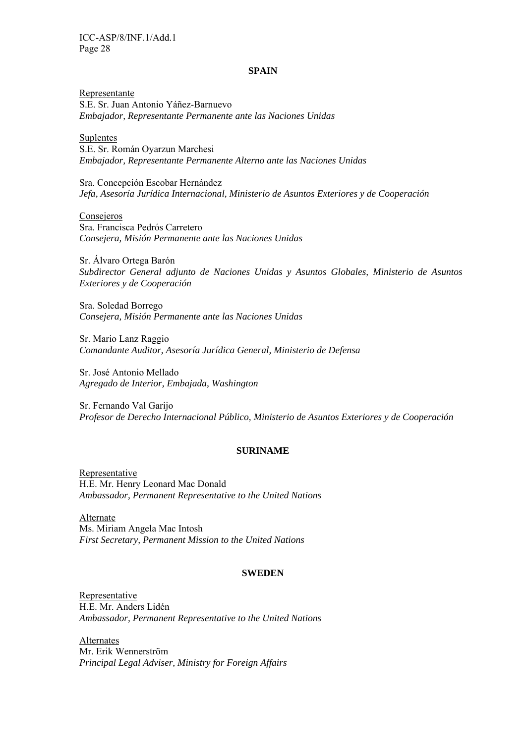#### **SPAIN**

Representante S.E. Sr. Juan Antonio Yáñez-Barnuevo *Embajador, Representante Permanente ante las Naciones Unidas* 

#### Suplentes

S.E. Sr. Román Oyarzun Marchesi *Embajador, Representante Permanente Alterno ante las Naciones Unidas* 

Sra. Concepción Escobar Hernández *Jefa, Asesoría Jurídica Internacional, Ministerio de Asuntos Exteriores y de Cooperación* 

Consejeros

Sra. Francisca Pedrós Carretero *Consejera, Misión Permanente ante las Naciones Unidas* 

Sr. Álvaro Ortega Barón *Subdirector General adjunto de Naciones Unidas y Asuntos Globales, Ministerio de Asuntos Exteriores y de Cooperación* 

Sra. Soledad Borrego *Consejera, Misión Permanente ante las Naciones Unidas* 

Sr. Mario Lanz Raggio *Comandante Auditor, Asesoría Jurídica General, Ministerio de Defensa* 

Sr. José Antonio Mellado *Agregado de Interior, Embajada, Washington* 

Sr. Fernando Val Garijo *Profesor de Derecho Internacional Público, Ministerio de Asuntos Exteriores y de Cooperación* 

#### **SURINAME**

Representative H.E. Mr. Henry Leonard Mac Donald *Ambassador, Permanent Representative to the United Nations* 

Alternate Ms. Miriam Angela Mac Intosh *First Secretary, Permanent Mission to the United Nations* 

#### **SWEDEN**

Representative H.E. Mr. Anders Lidén *Ambassador, Permanent Representative to the United Nations* 

**Alternates** Mr. Erik Wennerström *Principal Legal Adviser, Ministry for Foreign Affairs*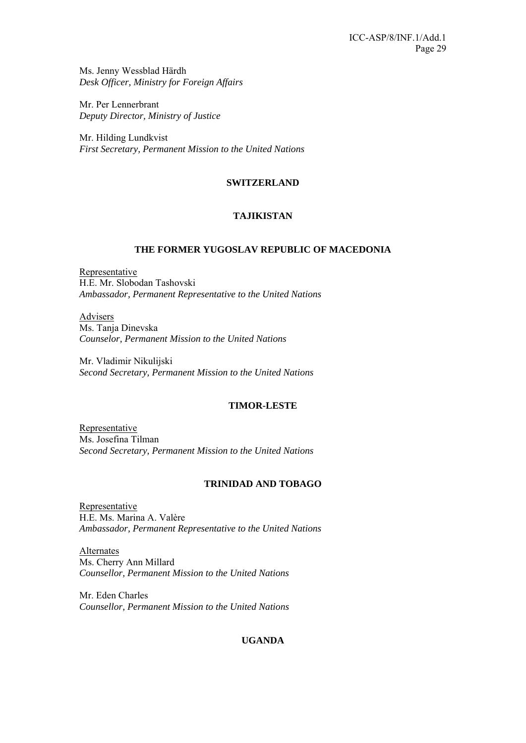Ms. Jenny Wessblad Härdh *Desk Officer, Ministry for Foreign Affairs* 

Mr. Per Lennerbrant *Deputy Director, Ministry of Justice* 

Mr. Hilding Lundkvist *First Secretary, Permanent Mission to the United Nations* 

# **SWITZERLAND**

# **TAJIKISTAN**

# **THE FORMER YUGOSLAV REPUBLIC OF MACEDONIA**

Representative H.E. Mr. Slobodan Tashovski *Ambassador, Permanent Representative to the United Nations* 

Advisers Ms. Tanja Dinevska *Counselor, Permanent Mission to the United Nations* 

Mr. Vladimir Nikulijski *Second Secretary, Permanent Mission to the United Nations* 

### **TIMOR-LESTE**

Representative Ms. Josefina Tilman *Second Secretary, Permanent Mission to the United Nations* 

### **TRINIDAD AND TOBAGO**

Representative H.E. Ms. Marina A. Valère *Ambassador, Permanent Representative to the United Nations* 

Alternates Ms. Cherry Ann Millard *Counsellor, Permanent Mission to the United Nations* 

Mr. Eden Charles *Counsellor, Permanent Mission to the United Nations* 

# **UGANDA**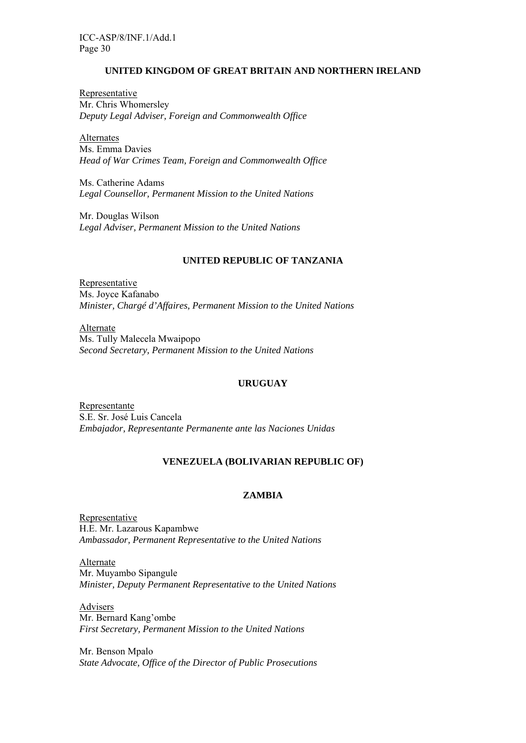### **UNITED KINGDOM OF GREAT BRITAIN AND NORTHERN IRELAND**

Representative Mr. Chris Whomersley *Deputy Legal Adviser, Foreign and Commonwealth Office* 

Alternates Ms. Emma Davies *Head of War Crimes Team, Foreign and Commonwealth Office* 

Ms. Catherine Adams *Legal Counsellor, Permanent Mission to the United Nations* 

Mr. Douglas Wilson *Legal Adviser, Permanent Mission to the United Nations* 

#### **UNITED REPUBLIC OF TANZANIA**

**Representative** Ms. Joyce Kafanabo *Minister, Chargé d'Affaires, Permanent Mission to the United Nations* 

Alternate Ms. Tully Malecela Mwaipopo *Second Secretary, Permanent Mission to the United Nations* 

#### **URUGUAY**

Representante S.E. Sr. José Luis Cancela *Embajador, Representante Permanente ante las Naciones Unidas* 

### **VENEZUELA (BOLIVARIAN REPUBLIC OF)**

#### **ZAMBIA**

Representative H.E. Mr. Lazarous Kapambwe *Ambassador, Permanent Representative to the United Nations* 

Alternate Mr. Muyambo Sipangule *Minister, Deputy Permanent Representative to the United Nations* 

Advisers Mr. Bernard Kang'ombe *First Secretary, Permanent Mission to the United Nations* 

Mr. Benson Mpalo *State Advocate, Office of the Director of Public Prosecutions*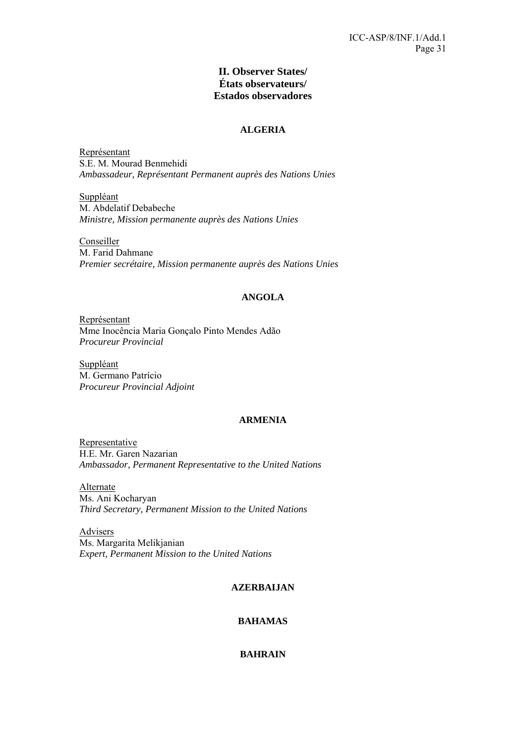# **II. Observer States/ États observateurs/ Estados observadores**

#### **ALGERIA**

Représentant S.E. M. Mourad Benmehidi *Ambassadeur, Représentant Permanent auprès des Nations Unies* 

Suppléant M. Abdelatif Debabeche *Ministre, Mission permanente auprès des Nations Unies* 

Conseiller M. Farid Dahmane *Premier secrétaire, Mission permanente auprès des Nations Unies* 

# **ANGOLA**

Représentant Mme Inocência Maria Gonçalo Pinto Mendes Adão *Procureur Provincial* 

Suppléant M. Germano Patrício *Procureur Provincial Adjoint* 

# **ARMENIA**

Representative H.E. Mr. Garen Nazarian *Ambassador, Permanent Representative to the United Nations* 

Alternate Ms. Ani Kocharyan *Third Secretary, Permanent Mission to the United Nations* 

Advisers Ms. Margarita Melikjanian *Expert, Permanent Mission to the United Nations* 

### **AZERBAIJAN**

# **BAHAMAS**

# **BAHRAIN**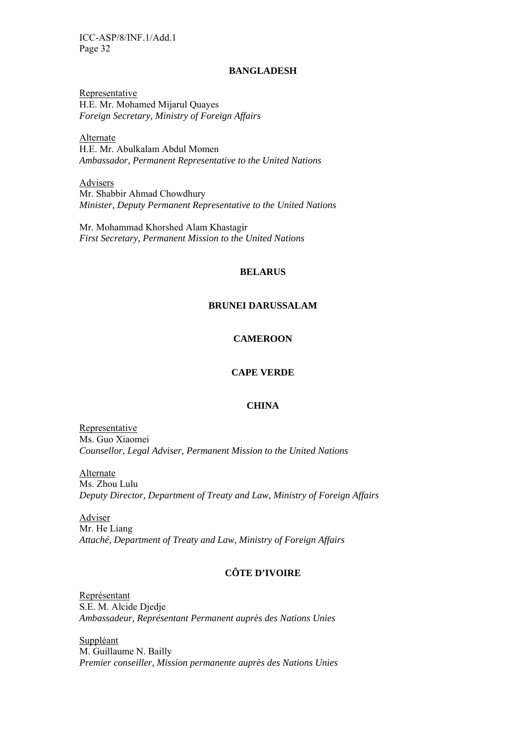#### **BANGLADESH**

Representative H.E. Mr. Mohamed Mijarul Quayes *Foreign Secretary, Ministry of Foreign Affairs* 

Alternate H.E. Mr. Abulkalam Abdul Momen *Ambassador, Permanent Representative to the United Nations* 

Advisers Mr. Shabbir Ahmad Chowdhury *Minister, Deputy Permanent Representative to the United Nations* 

Mr. Mohammad Khorshed Alam Khastagir *First Secretary, Permanent Mission to the United Nations* 

#### **BELARUS**

#### **BRUNEI DARUSSALAM**

#### **CAMEROON**

### **CAPE VERDE**

### **CHINA**

Representative Ms. Guo Xiaomei *Counsellor, Legal Adviser, Permanent Mission to the United Nations* 

Alternate Ms. Zhou Lulu *Deputy Director, Department of Treaty and Law, Ministry of Foreign Affairs*

Adviser Mr. He Liang *Attaché, Department of Treaty and Law, Ministry of Foreign Affairs*

# **CÔTE D'IVOIRE**

Représentant S.E. M. Alcide Djedje *Ambassadeur, Représentant Permanent auprès des Nations Unies* 

Suppléant M. Guillaume N. Bailly *Premier conseiller, Mission permanente auprès des Nations Unies*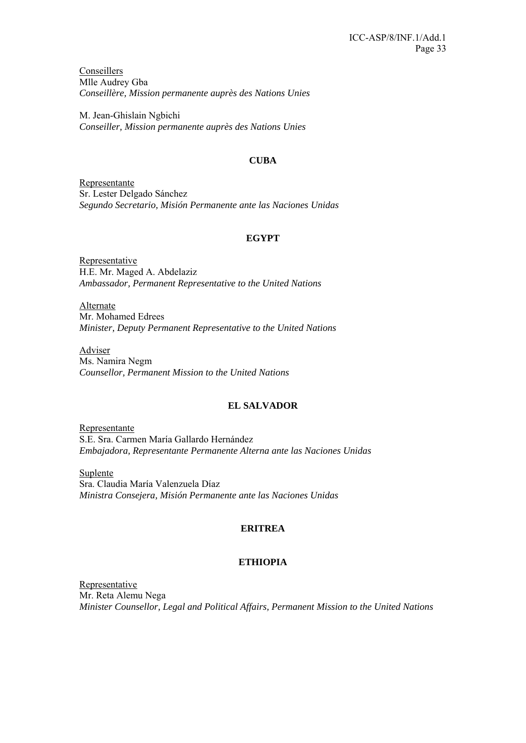Conseillers Mlle Audrey Gba *Conseillère, Mission permanente auprès des Nations Unies* 

M. Jean-Ghislain Ngbichi *Conseiller, Mission permanente auprès des Nations Unies* 

# **CUBA**

Representante Sr. Lester Delgado Sánchez *Segundo Secretario, Misión Permanente ante las Naciones Unidas* 

# **EGYPT**

Representative H.E. Mr. Maged A. Abdelaziz *Ambassador, Permanent Representative to the United Nations* 

Alternate Mr. Mohamed Edrees *Minister, Deputy Permanent Representative to the United Nations* 

Adviser Ms. Namira Negm *Counsellor, Permanent Mission to the United Nations* 

# **EL SALVADOR**

Representante S.E. Sra. Carmen María Gallardo Hernández *Embajadora, Representante Permanente Alterna ante las Naciones Unidas* 

Suplente Sra. Claudia María Valenzuela Díaz *Ministra Consejera, Misión Permanente ante las Naciones Unidas*

# **ERITREA**

# **ETHIOPIA**

Representative Mr. Reta Alemu Nega *Minister Counsellor, Legal and Political Affairs, Permanent Mission to the United Nations*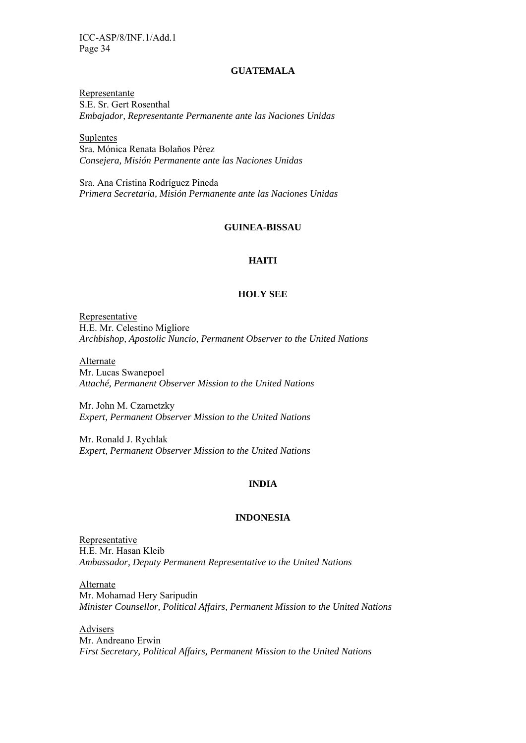#### **GUATEMALA**

Representante S.E. Sr. Gert Rosenthal *Embajador, Representante Permanente ante las Naciones Unidas* 

Suplentes Sra. Mónica Renata Bolaňos Pérez *Consejera, Misión Permanente ante las Naciones Unidas* 

Sra. Ana Cristina Rodríguez Pineda *Primera Secretaria, Misión Permanente ante las Naciones Unidas* 

#### **GUINEA-BISSAU**

### **HAITI**

#### **HOLY SEE**

Representative H.E. Mr. Celestino Migliore *Archbishop, Apostolic Nuncio, Permanent Observer to the United Nations* 

Alternate Mr. Lucas Swanepoel *Attaché, Permanent Observer Mission to the United Nations* 

Mr. John M. Czarnetzky *Expert, Permanent Observer Mission to the United Nations* 

Mr. Ronald J. Rychlak *Expert, Permanent Observer Mission to the United Nations* 

#### **INDIA**

#### **INDONESIA**

**Representative** H.E. Mr. Hasan Kleib *Ambassador, Deputy Permanent Representative to the United Nations* 

Alternate Mr. Mohamad Hery Saripudin *Minister Counsellor, Political Affairs, Permanent Mission to the United Nations* 

Advisers Mr. Andreano Erwin *First Secretary, Political Affairs, Permanent Mission to the United Nations*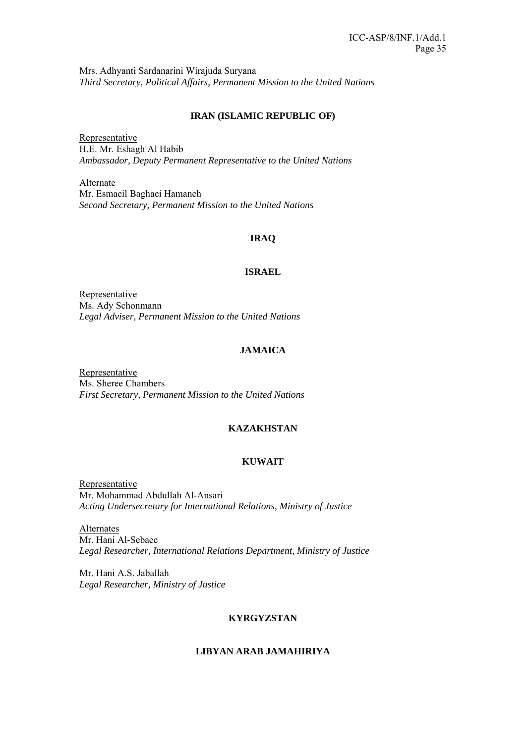Mrs. Adhyanti Sardanarini Wirajuda Suryana *Third Secretary, Political Affairs, Permanent Mission to the United Nations* 

### **IRAN (ISLAMIC REPUBLIC OF)**

Representative H.E. Mr. Eshagh Al Habib *Ambassador, Deputy Permanent Representative to the United Nations* 

Alternate Mr. Esmaeil Baghaei Hamaneh *Second Secretary, Permanent Mission to the United Nations* 

# **IRAQ**

### **ISRAEL**

Representative Ms. Ady Schonmann *Legal Adviser, Permanent Mission to the United Nations* 

# **JAMAICA**

Representative Ms. Sheree Chambers *First Secretary, Permanent Mission to the United Nations* 

### **KAZAKHSTAN**

### **KUWAIT**

Representative Mr. Mohammad Abdullah Al-Ansari *Acting Undersecretary for International Relations, Ministry of Justice* 

Alternates Mr. Hani Al-Sebaee *Legal Researcher, International Relations Department, Ministry of Justice* 

Mr. Hani A.S. Jaballah *Legal Researcher, Ministry of Justice* 

### **KYRGYZSTAN**

# **LIBYAN ARAB JAMAHIRIYA**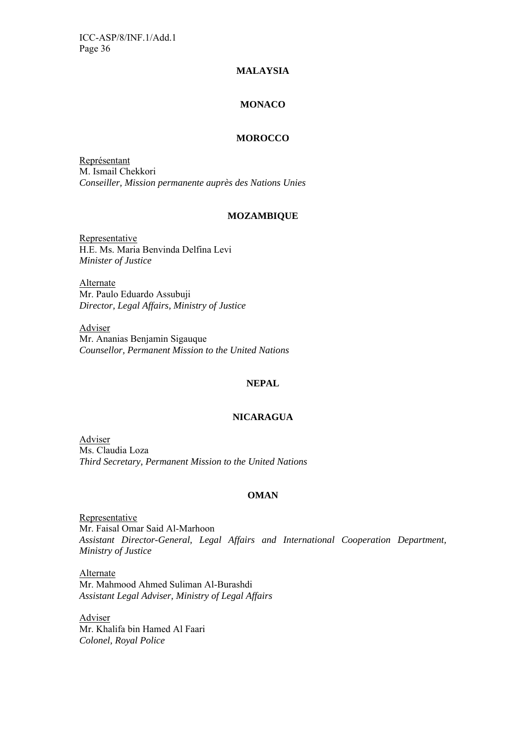### **MALAYSIA**

### **MONACO**

#### **MOROCCO**

Représentant M. Ismail Chekkori *Conseiller, Mission permanente auprès des Nations Unies* 

#### **MOZAMBIQUE**

Representative H.E. Ms. Maria Benvinda Delfina Levi *Minister of Justice* 

Alternate Mr. Paulo Eduardo Assubuji *Director, Legal Affairs, Ministry of Justice* 

Adviser Mr. Ananias Benjamin Sigauque *Counsellor, Permanent Mission to the United Nations* 

#### **NEPAL**

#### **NICARAGUA**

Adviser Ms. Claudia Loza *Third Secretary, Permanent Mission to the United Nations* 

#### **OMAN**

Representative Mr. Faisal Omar Said Al-Marhoon *Assistant Director-General, Legal Affairs and International Cooperation Department, Ministry of Justice* 

Alternate Mr. Mahmood Ahmed Suliman Al-Burashdi *Assistant Legal Adviser, Ministry of Legal Affairs* 

Adviser Mr. Khalifa bin Hamed Al Faari *Colonel, Royal Police*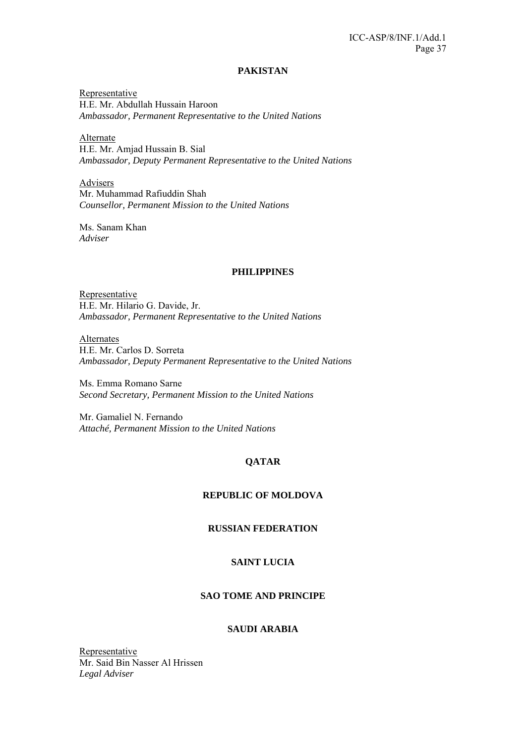#### **PAKISTAN**

Representative H.E. Mr. Abdullah Hussain Haroon *Ambassador, Permanent Representative to the United Nations*

Alternate H.E. Mr. Amjad Hussain B. Sial *Ambassador, Deputy Permanent Representative to the United Nations* 

Advisers Mr. Muhammad Rafiuddin Shah *Counsellor, Permanent Mission to the United Nations* 

Ms. Sanam Khan *Adviser* 

#### **PHILIPPINES**

**Representative** H.E. Mr. Hilario G. Davide, Jr. *Ambassador, Permanent Representative to the United Nations*

Alternates H.E. Mr. Carlos D. Sorreta *Ambassador, Deputy Permanent Representative to the United Nations* 

Ms. Emma Romano Sarne *Second Secretary, Permanent Mission to the United Nations* 

Mr. Gamaliel N. Fernando *Attaché, Permanent Mission to the United Nations* 

# **QATAR**

#### **REPUBLIC OF MOLDOVA**

# **RUSSIAN FEDERATION**

### **SAINT LUCIA**

# **SAO TOME AND PRINCIPE**

#### **SAUDI ARABIA**

Representative Mr. Said Bin Nasser Al Hrissen *Legal Adviser*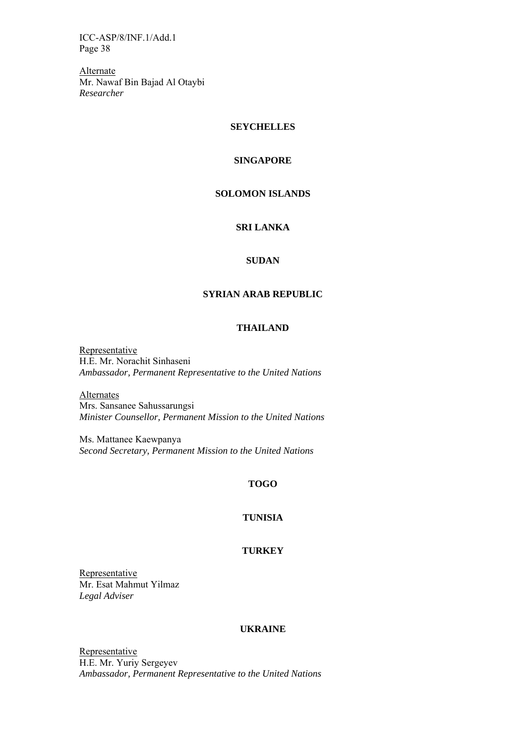Alternate Mr. Nawaf Bin Bajad Al Otaybi *Researcher* 

#### **SEYCHELLES**

# **SINGAPORE**

#### **SOLOMON ISLANDS**

# **SRI LANKA**

### **SUDAN**

# **SYRIAN ARAB REPUBLIC**

### **THAILAND**

Representative H.E. Mr. Norachit Sinhaseni *Ambassador, Permanent Representative to the United Nations* 

**Alternates** Mrs. Sansanee Sahussarungsi *Minister Counsellor, Permanent Mission to the United Nations* 

Ms. Mattanee Kaewpanya *Second Secretary, Permanent Mission to the United Nations* 

# **TOGO**

#### **TUNISIA**

#### **TURKEY**

Representative Mr. Esat Mahmut Yilmaz *Legal Adviser* 

#### **UKRAINE**

Representative H.E. Mr. Yuriy Sergeyev *Ambassador, Permanent Representative to the United Nations*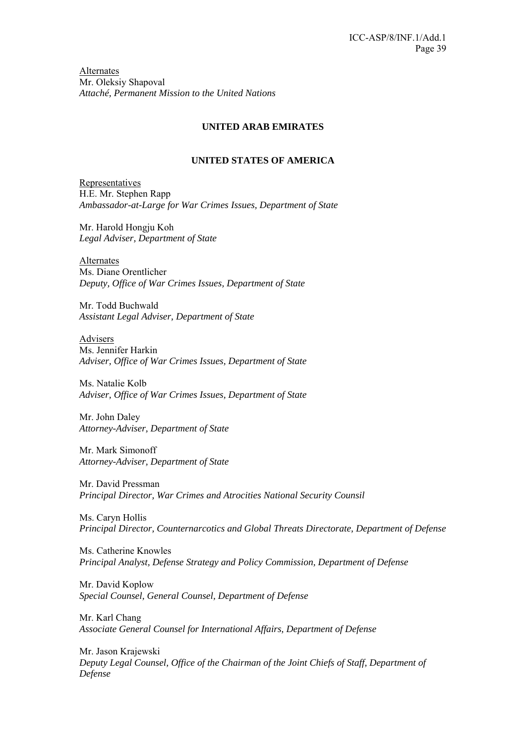Alternates Mr. Oleksiy Shapoval *Attaché, Permanent Mission to the United Nations*

# **UNITED ARAB EMIRATES**

# **UNITED STATES OF AMERICA**

Representatives H.E. Mr. Stephen Rapp *Ambassador-at-Large for War Crimes Issues, Department of State* 

Mr. Harold Hongju Koh *Legal Adviser, Department of State* 

Alternates Ms. Diane Orentlicher *Deputy, Office of War Crimes Issues, Department of State* 

Mr. Todd Buchwald *Assistant Legal Adviser, Department of State* 

Advisers Ms. Jennifer Harkin *Adviser, Office of War Crimes Issues, Department of State* 

Ms. Natalie Kolb *Adviser, Office of War Crimes Issues, Department of State* 

Mr. John Daley *Attorney-Adviser, Department of State* 

Mr. Mark Simonoff *Attorney-Adviser, Department of State* 

Mr. David Pressman *Principal Director, War Crimes and Atrocities National Security Counsil* 

Ms. Caryn Hollis *Principal Director, Counternarcotics and Global Threats Directorate, Department of Defense* 

Ms. Catherine Knowles *Principal Analyst, Defense Strategy and Policy Commission, Department of Defense* 

Mr. David Koplow *Special Counsel, General Counsel, Department of Defense* 

Mr. Karl Chang *Associate General Counsel for International Affairs, Department of Defense* 

Mr. Jason Krajewski *Deputy Legal Counsel, Office of the Chairman of the Joint Chiefs of Staff, Department of Defense*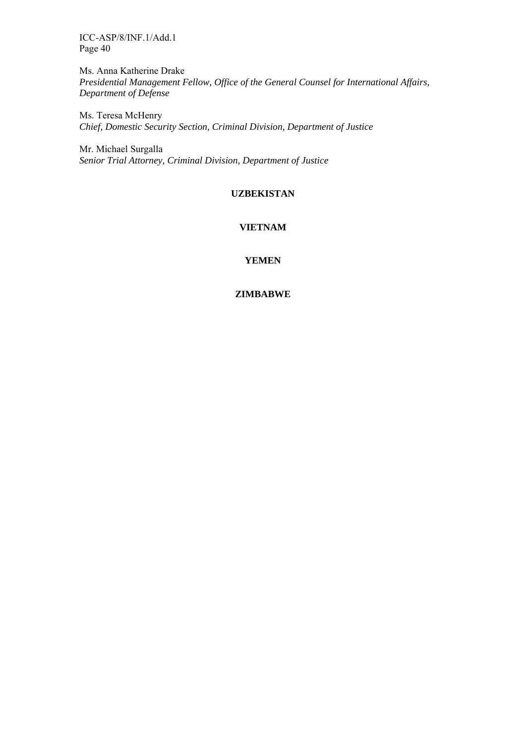Ms. Anna Katherine Drake *Presidential Management Fellow, Office of the General Counsel for International Affairs, Department of Defense* 

Ms. Teresa McHenry *Chief, Domestic Security Section, Criminal Division, Department of Justice* 

Mr. Michael Surgalla *Senior Trial Attorney, Criminal Division, Department of Justice* 

# **UZBEKISTAN**

# **VIETNAM**

### **YEMEN**

# **ZIMBABWE**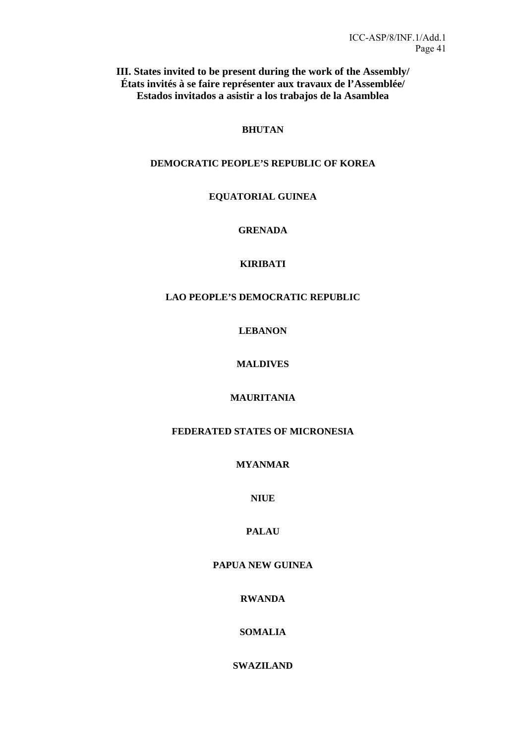**III. States invited to be present during the work of the Assembly/ États invités à se faire représenter aux travaux de l'Assemblée/ Estados invitados a asistir a los trabajos de la Asamblea** 

# **BHUTAN**

# **DEMOCRATIC PEOPLE'S REPUBLIC OF KOREA**

# **EQUATORIAL GUINEA**

# **GRENADA**

# **KIRIBATI**

# **LAO PEOPLE'S DEMOCRATIC REPUBLIC**

**LEBANON** 

# **MALDIVES**

# **MAURITANIA**

# **FEDERATED STATES OF MICRONESIA**

# **MYANMAR**

# **NIUE**

# **PALAU**

# **PAPUA NEW GUINEA**

# **RWANDA**

# **SOMALIA**

# **SWAZILAND**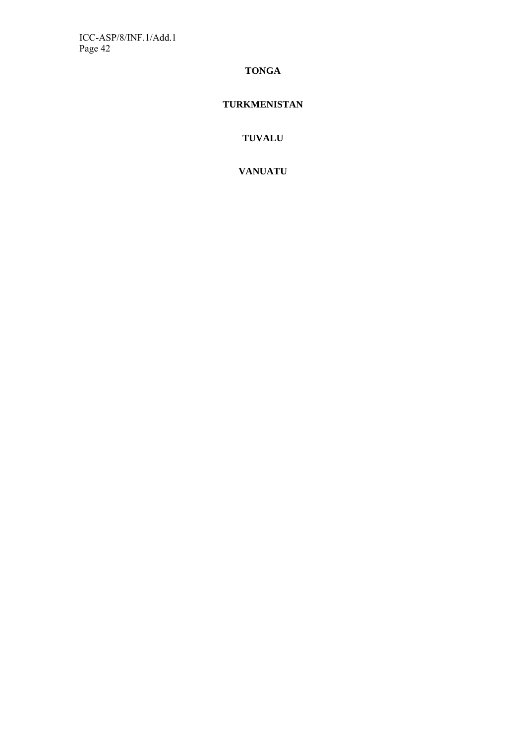# **TONGA**

# **TURKMENISTAN**

**TUVALU** 

**VANUATU**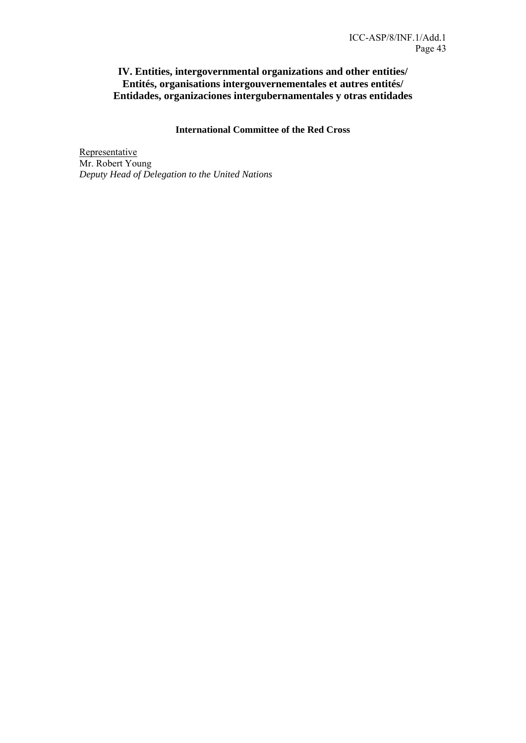# **IV. Entities, intergovernmental organizations and other entities/ Entités, organisations intergouvernementales et autres entités/ Entidades, organizaciones intergubernamentales y otras entidades**

# **International Committee of the Red Cross**

Representative Mr. Robert Young *Deputy Head of Delegation to the United Nations*